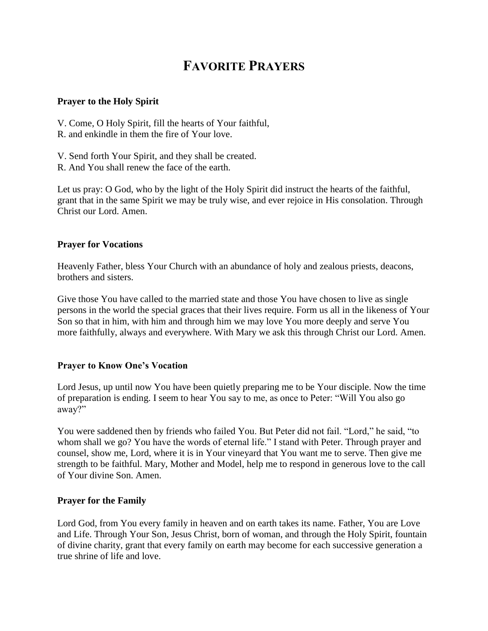# **FAVORITE PRAYERS**

#### **Prayer to the Holy Spirit**

- V. Come, O Holy Spirit, fill the hearts of Your faithful,
- R. and enkindle in them the fire of Your love.
- V. Send forth Your Spirit, and they shall be created.
- R. And You shall renew the face of the earth.

Let us pray: O God, who by the light of the Holy Spirit did instruct the hearts of the faithful, grant that in the same Spirit we may be truly wise, and ever rejoice in His consolation. Through Christ our Lord. Amen.

## **Prayer for Vocations**

Heavenly Father, bless Your Church with an abundance of holy and zealous priests, deacons, brothers and sisters.

Give those You have called to the married state and those You have chosen to live as single persons in the world the special graces that their lives require. Form us all in the likeness of Your Son so that in him, with him and through him we may love You more deeply and serve You more faithfully, always and everywhere. With Mary we ask this through Christ our Lord. Amen.

## **Prayer to Know One's Vocation**

Lord Jesus, up until now You have been quietly preparing me to be Your disciple. Now the time of preparation is ending. I seem to hear You say to me, as once to Peter: "Will You also go away?"

You were saddened then by friends who failed You. But Peter did not fail. "Lord," he said, "to whom shall we go? You have the words of eternal life." I stand with Peter. Through prayer and counsel, show me, Lord, where it is in Your vineyard that You want me to serve. Then give me strength to be faithful. Mary, Mother and Model, help me to respond in generous love to the call of Your divine Son. Amen.

## **Prayer for the Family**

Lord God, from You every family in heaven and on earth takes its name. Father, You are Love and Life. Through Your Son, Jesus Christ, born of woman, and through the Holy Spirit, fountain of divine charity, grant that every family on earth may become for each successive generation a true shrine of life and love.